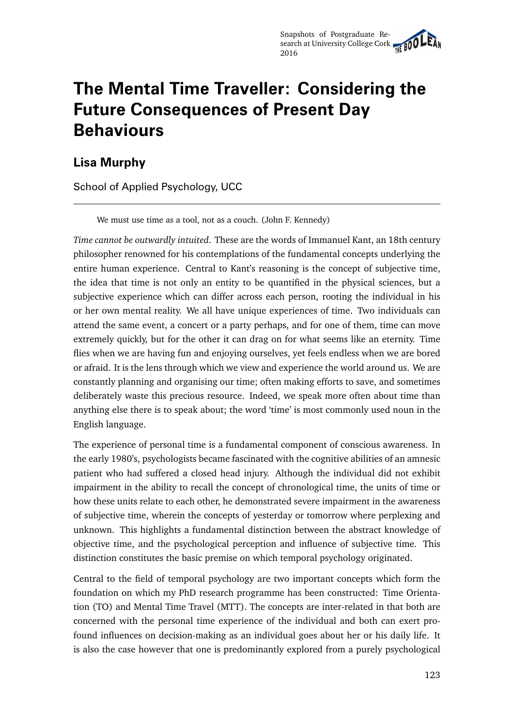# **The Mental Time Traveller: Considering the Future Consequences of Present Day Behaviours**

## **Lisa Murphy**

School of Applied Psychology, UCC

We must use time as a tool, not as a couch. (John F. Kennedy)

*Time cannot be outwardly intuited*. These are the words of Immanuel Kant, an 18th century philosopher renowned for his contemplations of the fundamental concepts underlying the entire human experience. Central to Kant's reasoning is the concept of subjective time, the idea that time is not only an entity to be quantified in the physical sciences, but a subjective experience which can differ across each person, rooting the individual in his or her own mental reality. We all have unique experiences of time. Two individuals can attend the same event, a concert or a party perhaps, and for one of them, time can move extremely quickly, but for the other it can drag on for what seems like an eternity. Time flies when we are having fun and enjoying ourselves, yet feels endless when we are bored or afraid. It is the lens through which we view and experience the world around us. We are constantly planning and organising our time; often making efforts to save, and sometimes deliberately waste this precious resource. Indeed, we speak more often about time than anything else there is to speak about; the word 'time' is most commonly used noun in the English language.

The experience of personal time is a fundamental component of conscious awareness. In the early 1980's, psychologists became fascinated with the cognitive abilities of an amnesic patient who had suffered a closed head injury. Although the individual did not exhibit impairment in the ability to recall the concept of chronological time, the units of time or how these units relate to each other, he demonstrated severe impairment in the awareness of subjective time, wherein the concepts of yesterday or tomorrow where perplexing and unknown. This highlights a fundamental distinction between the abstract knowledge of objective time, and the psychological perception and influence of subjective time. This distinction constitutes the basic premise on which temporal psychology originated.

Central to the field of temporal psychology are two important concepts which form the foundation on which my PhD research programme has been constructed: Time Orientation (TO) and Mental Time Travel (MTT). The concepts are inter-related in that both are concerned with the personal time experience of the individual and both can exert profound influences on decision-making as an individual goes about her or his daily life. It is also the case however that one is predominantly explored from a purely psychological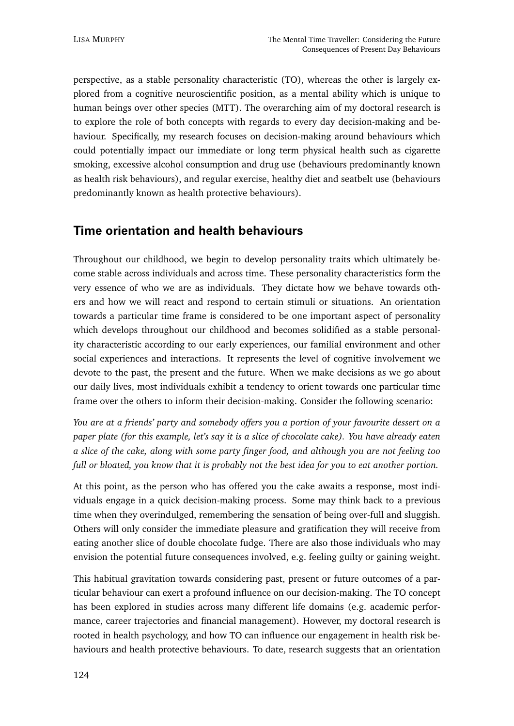perspective, as a stable personality characteristic (TO), whereas the other is largely explored from a cognitive neuroscientific position, as a mental ability which is unique to human beings over other species (MTT). The overarching aim of my doctoral research is to explore the role of both concepts with regards to every day decision-making and behaviour. Specifically, my research focuses on decision-making around behaviours which could potentially impact our immediate or long term physical health such as cigarette smoking, excessive alcohol consumption and drug use (behaviours predominantly known as health risk behaviours), and regular exercise, healthy diet and seatbelt use (behaviours predominantly known as health protective behaviours).

#### **Time orientation and health behaviours**

Throughout our childhood, we begin to develop personality traits which ultimately become stable across individuals and across time. These personality characteristics form the very essence of who we are as individuals. They dictate how we behave towards others and how we will react and respond to certain stimuli or situations. An orientation towards a particular time frame is considered to be one important aspect of personality which develops throughout our childhood and becomes solidified as a stable personality characteristic according to our early experiences, our familial environment and other social experiences and interactions. It represents the level of cognitive involvement we devote to the past, the present and the future. When we make decisions as we go about our daily lives, most individuals exhibit a tendency to orient towards one particular time frame over the others to inform their decision-making. Consider the following scenario:

*You are at a friends' party and somebody offers you a portion of your favourite dessert on a paper plate (for this example, let's say it is a slice of chocolate cake). You have already eaten a slice of the cake, along with some party finger food, and although you are not feeling too full or bloated, you know that it is probably not the best idea for you to eat another portion.*

At this point, as the person who has offered you the cake awaits a response, most individuals engage in a quick decision-making process. Some may think back to a previous time when they overindulged, remembering the sensation of being over-full and sluggish. Others will only consider the immediate pleasure and gratification they will receive from eating another slice of double chocolate fudge. There are also those individuals who may envision the potential future consequences involved, e.g. feeling guilty or gaining weight.

This habitual gravitation towards considering past, present or future outcomes of a particular behaviour can exert a profound influence on our decision-making. The TO concept has been explored in studies across many different life domains (e.g. academic performance, career trajectories and financial management). However, my doctoral research is rooted in health psychology, and how TO can influence our engagement in health risk behaviours and health protective behaviours. To date, research suggests that an orientation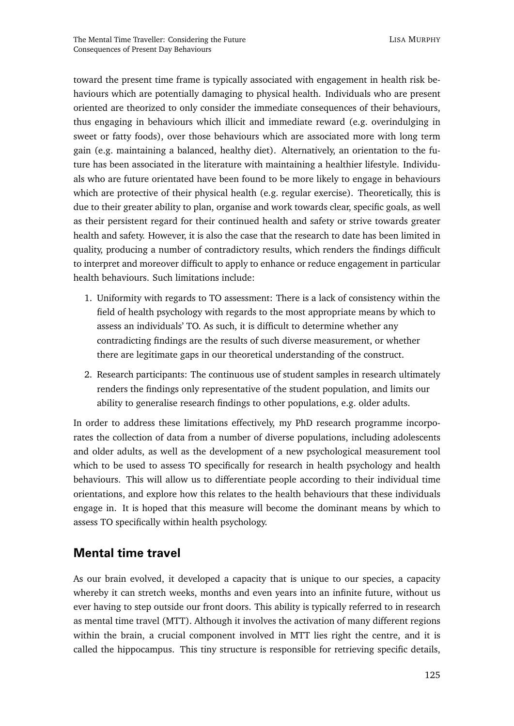toward the present time frame is typically associated with engagement in health risk behaviours which are potentially damaging to physical health. Individuals who are present oriented are theorized to only consider the immediate consequences of their behaviours, thus engaging in behaviours which illicit and immediate reward (e.g. overindulging in sweet or fatty foods), over those behaviours which are associated more with long term gain (e.g. maintaining a balanced, healthy diet). Alternatively, an orientation to the future has been associated in the literature with maintaining a healthier lifestyle. Individuals who are future orientated have been found to be more likely to engage in behaviours which are protective of their physical health (e.g. regular exercise). Theoretically, this is due to their greater ability to plan, organise and work towards clear, specific goals, as well as their persistent regard for their continued health and safety or strive towards greater health and safety. However, it is also the case that the research to date has been limited in quality, producing a number of contradictory results, which renders the findings difficult to interpret and moreover difficult to apply to enhance or reduce engagement in particular health behaviours. Such limitations include:

- 1. Uniformity with regards to TO assessment: There is a lack of consistency within the field of health psychology with regards to the most appropriate means by which to assess an individuals' TO. As such, it is difficult to determine whether any contradicting findings are the results of such diverse measurement, or whether there are legitimate gaps in our theoretical understanding of the construct.
- 2. Research participants: The continuous use of student samples in research ultimately renders the findings only representative of the student population, and limits our ability to generalise research findings to other populations, e.g. older adults.

In order to address these limitations effectively, my PhD research programme incorporates the collection of data from a number of diverse populations, including adolescents and older adults, as well as the development of a new psychological measurement tool which to be used to assess TO specifically for research in health psychology and health behaviours. This will allow us to differentiate people according to their individual time orientations, and explore how this relates to the health behaviours that these individuals engage in. It is hoped that this measure will become the dominant means by which to assess TO specifically within health psychology.

#### **Mental time travel**

As our brain evolved, it developed a capacity that is unique to our species, a capacity whereby it can stretch weeks, months and even years into an infinite future, without us ever having to step outside our front doors. This ability is typically referred to in research as mental time travel (MTT). Although it involves the activation of many different regions within the brain, a crucial component involved in MTT lies right the centre, and it is called the hippocampus. This tiny structure is responsible for retrieving specific details,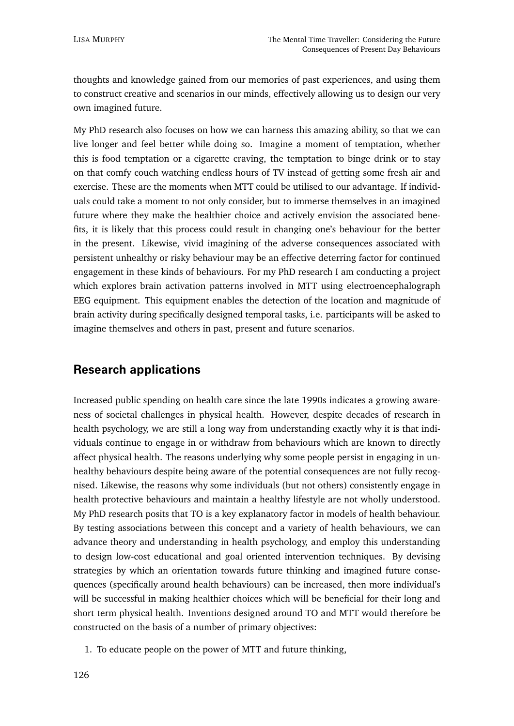thoughts and knowledge gained from our memories of past experiences, and using them to construct creative and scenarios in our minds, effectively allowing us to design our very own imagined future.

My PhD research also focuses on how we can harness this amazing ability, so that we can live longer and feel better while doing so. Imagine a moment of temptation, whether this is food temptation or a cigarette craving, the temptation to binge drink or to stay on that comfy couch watching endless hours of TV instead of getting some fresh air and exercise. These are the moments when MTT could be utilised to our advantage. If individuals could take a moment to not only consider, but to immerse themselves in an imagined future where they make the healthier choice and actively envision the associated benefits, it is likely that this process could result in changing one's behaviour for the better in the present. Likewise, vivid imagining of the adverse consequences associated with persistent unhealthy or risky behaviour may be an effective deterring factor for continued engagement in these kinds of behaviours. For my PhD research I am conducting a project which explores brain activation patterns involved in MTT using electroencephalograph EEG equipment. This equipment enables the detection of the location and magnitude of brain activity during specifically designed temporal tasks, i.e. participants will be asked to imagine themselves and others in past, present and future scenarios.

### **Research applications**

Increased public spending on health care since the late 1990s indicates a growing awareness of societal challenges in physical health. However, despite decades of research in health psychology, we are still a long way from understanding exactly why it is that individuals continue to engage in or withdraw from behaviours which are known to directly affect physical health. The reasons underlying why some people persist in engaging in unhealthy behaviours despite being aware of the potential consequences are not fully recognised. Likewise, the reasons why some individuals (but not others) consistently engage in health protective behaviours and maintain a healthy lifestyle are not wholly understood. My PhD research posits that TO is a key explanatory factor in models of health behaviour. By testing associations between this concept and a variety of health behaviours, we can advance theory and understanding in health psychology, and employ this understanding to design low-cost educational and goal oriented intervention techniques. By devising strategies by which an orientation towards future thinking and imagined future consequences (specifically around health behaviours) can be increased, then more individual's will be successful in making healthier choices which will be beneficial for their long and short term physical health. Inventions designed around TO and MTT would therefore be constructed on the basis of a number of primary objectives:

1. To educate people on the power of MTT and future thinking,